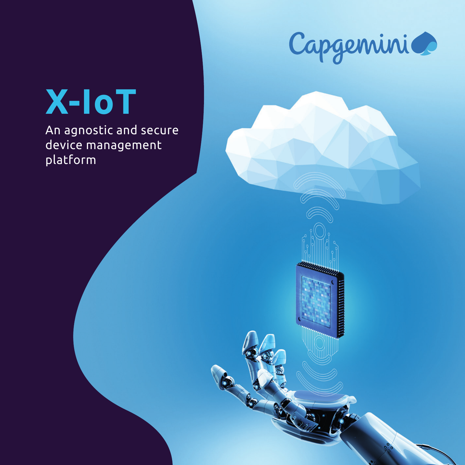

S

# **X-IoT**

An agnostic and secure device management platform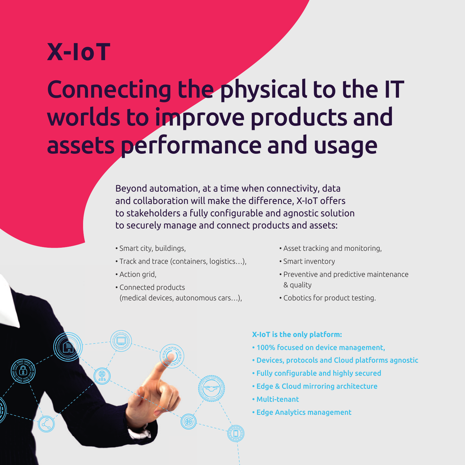## **X-IoT**

## Connecting the physical to the IT worlds to improve products and assets performance and usage

Beyond automation, at a time when connectivity, data and collaboration will make the difference, X-IoT offers to stakeholders a fully configurable and agnostic solution to securely manage and connect products and assets:

- Smart city, buildings,
- Track and trace (containers, logistics…),
- Action grid,
- Connected products (medical devices, autonomous cars…),
- Asset tracking and monitoring,
- Smart inventory
- Preventive and predictive maintenance & quality
- Cobotics for product testing.

#### **X-IoT is the only platform:**

- 100% focused on device management,
- Devices, protocols and Cloud platforms agnostic
- Fully configurable and highly secured
- Edge & Cloud mirroring architecture
- Multi-tenant
- Edge Analytics management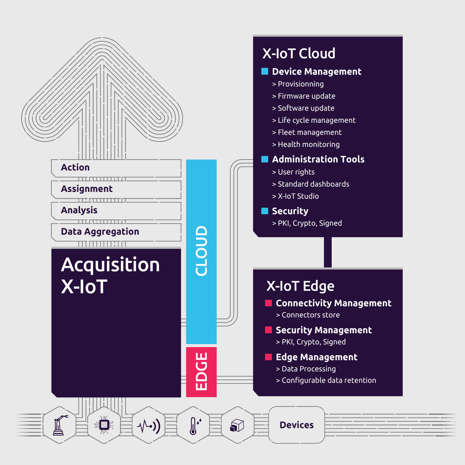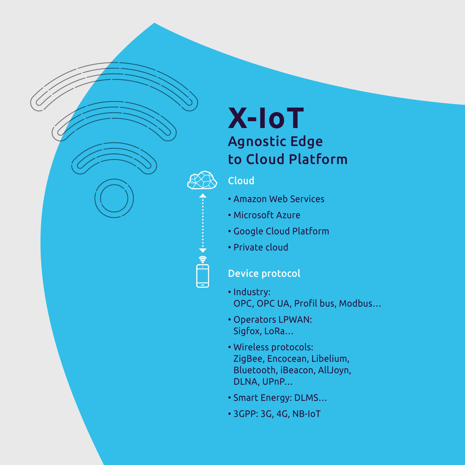### **X-IoT** Agnostic Edge to Cloud Platform

### Cloud

 $\frac{1}{2}$   $\frac{1}{2}$   $\frac{1}{2}$   $\frac{1}{2}$   $\frac{1}{2}$   $\frac{1}{2}$   $\frac{1}{2}$   $\frac{1}{2}$   $\frac{1}{2}$   $\frac{1}{2}$   $\frac{1}{2}$   $\frac{1}{2}$   $\frac{1}{2}$   $\frac{1}{2}$   $\frac{1}{2}$   $\frac{1}{2}$   $\frac{1}{2}$   $\frac{1}{2}$   $\frac{1}{2}$   $\frac{1}{2}$   $\frac{1}{2}$   $\frac{1}{2}$ 

- Amazon Web Services
- Microsoft Azure
- Google Cloud Platform
- Private cloud

### Device protocol

- Industry: OPC, OPC UA, Profil bus, Modbus…
- Operators LPWAN: Sigfox, LoRa…
- Wireless protocols: ZigBee, Encocean, Libelium, Bluetooth, iBeacon, AllJoyn, DLNA, UPnP…
- Smart Energy: DLMS…
- 3GPP: 3G, 4G, NB-IoT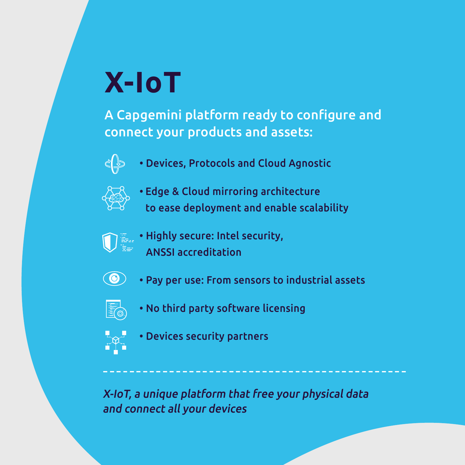# **X-IoT**

A Capgemini platform ready to configure and connect your products and assets:



• Devices, Protocols and Cloud Agnostic



- Edge & Cloud mirroring architecture to ease deployment and enable scalability
- 
- $\mathbb{F}_{\mathbb{H}^*}$  Highly secure: Intel security, ANSSI accreditation
	- 0 • Pay per use: From sensors to industrial assets
	- Fo
- No third party software licensing



• Devices security partners

X-IoT, a unique platform that free your physical data and connect all your devices